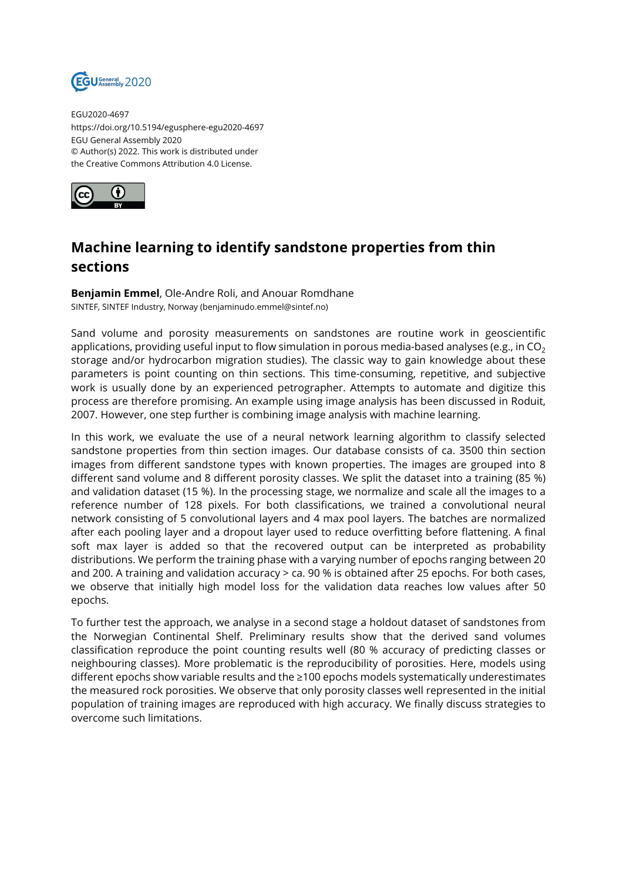

EGU2020-4697 https://doi.org/10.5194/egusphere-egu2020-4697 EGU General Assembly 2020 © Author(s) 2022. This work is distributed under the Creative Commons Attribution 4.0 License.



## **Machine learning to identify sandstone properties from thin sections**

**Benjamin Emmel**, Ole-Andre Roli, and Anouar Romdhane SINTEF, SINTEF Industry, Norway (benjaminudo.emmel@sintef.no)

Sand volume and porosity measurements on sandstones are routine work in geoscientific applications, providing useful input to flow simulation in porous media-based analyses (e.g., in  $CO<sub>2</sub>$ storage and/or hydrocarbon migration studies). The classic way to gain knowledge about these parameters is point counting on thin sections. This time-consuming, repetitive, and subjective work is usually done by an experienced petrographer. Attempts to automate and digitize this process are therefore promising. An example using image analysis has been discussed in Roduit, 2007. However, one step further is combining image analysis with machine learning.

In this work, we evaluate the use of a neural network learning algorithm to classify selected sandstone properties from thin section images. Our database consists of ca. 3500 thin section images from different sandstone types with known properties. The images are grouped into 8 different sand volume and 8 different porosity classes. We split the dataset into a training (85 %) and validation dataset (15 %). In the processing stage, we normalize and scale all the images to a reference number of 128 pixels. For both classifications, we trained a convolutional neural network consisting of 5 convolutional layers and 4 max pool layers. The batches are normalized after each pooling layer and a dropout layer used to reduce overfitting before flattening. A final soft max layer is added so that the recovered output can be interpreted as probability distributions. We perform the training phase with a varying number of epochs ranging between 20 and 200. A training and validation accuracy > ca. 90 % is obtained after 25 epochs. For both cases, we observe that initially high model loss for the validation data reaches low values after 50 epochs.

To further test the approach, we analyse in a second stage a holdout dataset of sandstones from the Norwegian Continental Shelf. Preliminary results show that the derived sand volumes classification reproduce the point counting results well (80 % accuracy of predicting classes or neighbouring classes). More problematic is the reproducibility of porosities. Here, models using different epochs show variable results and the ≥100 epochs models systematically underestimates the measured rock porosities. We observe that only porosity classes well represented in the initial population of training images are reproduced with high accuracy. We finally discuss strategies to overcome such limitations.